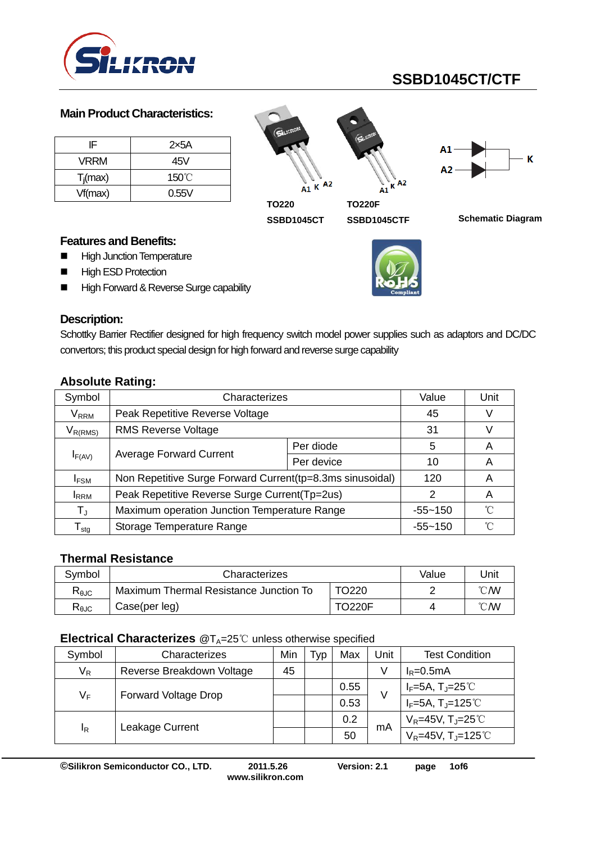

#### **Main Product Characteristics:**

| IF          | 2x5A            |
|-------------|-----------------|
| VRRM        | 45V             |
| $T_i$ (max) | $150^{\circ}$ C |
| Vf(max)     | 0.55V           |

 $A1 K$   $A2$  $A<sub>2</sub>$ к A1 **TO220 TO220F**



**SSBD1045CTF**

**SSBD1045CT Schematic Diagram**

#### **Features and Benefits:**

- **High Junction Temperature**
- **High ESD Protection**
- High Forward & Reverse Surge capability



### **Description:**

Schottky Barrier Rectifier designed for high frequency switch model power supplies such as adaptors and DC/DC convertors; this product special design for high forward and reverse surge capability

| Symbol                     | Characterizes                                              | Value       | Unit |   |
|----------------------------|------------------------------------------------------------|-------------|------|---|
| $\mathsf{V}_\mathsf{RRM}$  | Peak Repetitive Reverse Voltage                            | 45          | V    |   |
| $V_{R(RMS)}$               | <b>RMS Reverse Voltage</b>                                 | 31          | V    |   |
| $I_{F(AV)}$                |                                                            | Per diode   | 5    | Α |
|                            | <b>Average Forward Current</b>                             | Per device  | 10   | Α |
| <b>IFSM</b>                | Non Repetitive Surge Forward Current (tp=8.3ms sinusoidal) | 120         | A    |   |
| <b>I</b> RRM               | Peak Repetitive Reverse Surge Current (Tp=2us)             | 2           | A    |   |
| $T_{\rm J}$                | Maximum operation Junction Temperature Range               | $-55 - 150$ | ิ่∩° |   |
| ${\mathsf T}_{\text{stg}}$ | Storage Temperature Range                                  | $-55 - 150$ | ∽    |   |

## **Absolute Rating:**

#### **Thermal Resistance**

| Symbol         | Characterizes                          | Value         | Unit           |                |
|----------------|----------------------------------------|---------------|----------------|----------------|
| $R_{\theta$ JC | Maximum Thermal Resistance Junction To |               | $^{\circ}$ CMV |                |
| $R_{\theta$ JC | Case(per leg)                          | <b>TO220F</b> | 4              | $^{\circ}$ CMV |

#### **Electrical Characterizes** @T<sub>A</sub>=25℃ unless otherwise specified

| Symbol | Characterizes               | Min | Typ | Max  | Jnit | <b>Test Condition</b>                       |
|--------|-----------------------------|-----|-----|------|------|---------------------------------------------|
| $V_R$  | Reverse Breakdown Voltage   | 45  |     |      | V    | $I_R = 0.5mA$                               |
| $V_F$  | <b>Forward Voltage Drop</b> |     |     | 0.55 | V    | $I_F=5A$ , T <sub>J</sub> =25℃              |
|        |                             |     |     | 0.53 |      | $I_F=5A$ , T <sub>J</sub> =125°C            |
| ΙŖ     | Leakage Current             |     |     | 0.2  | mA   | $V_R$ =45V, T <sub>J</sub> =25 $^{\circ}$ C |
|        |                             |     |     | 50   |      | $V_R = 45V$ , T <sub>J</sub> =125°C         |

**©Silikron Semiconductor CO., LTD. 2011.5.26 Version: 2.1 page 1of6**

**www.silikron.com**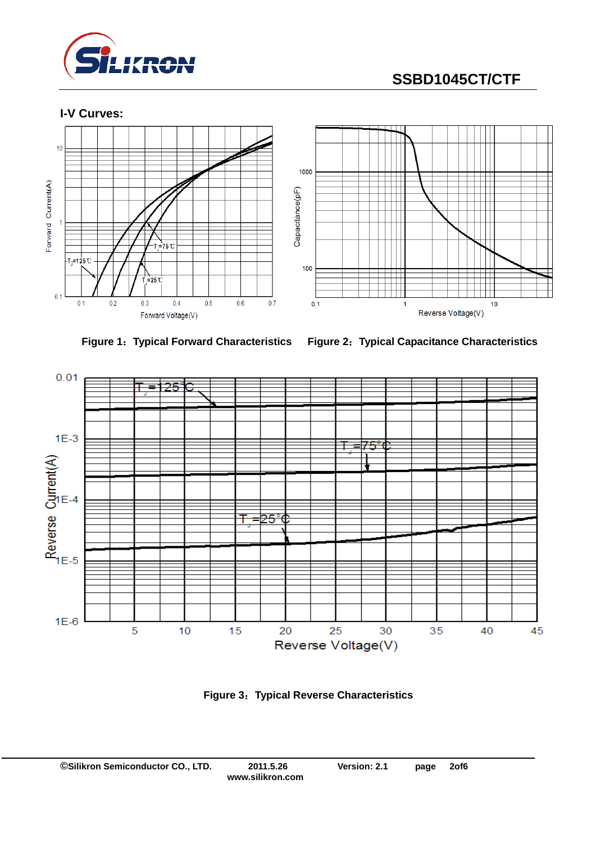





**Figure 1**:**Typical Forward Characteristics Figure 2**:**Typical Capacitance Characteristics**



**Figure 3**:**Typical Reverse Characteristics**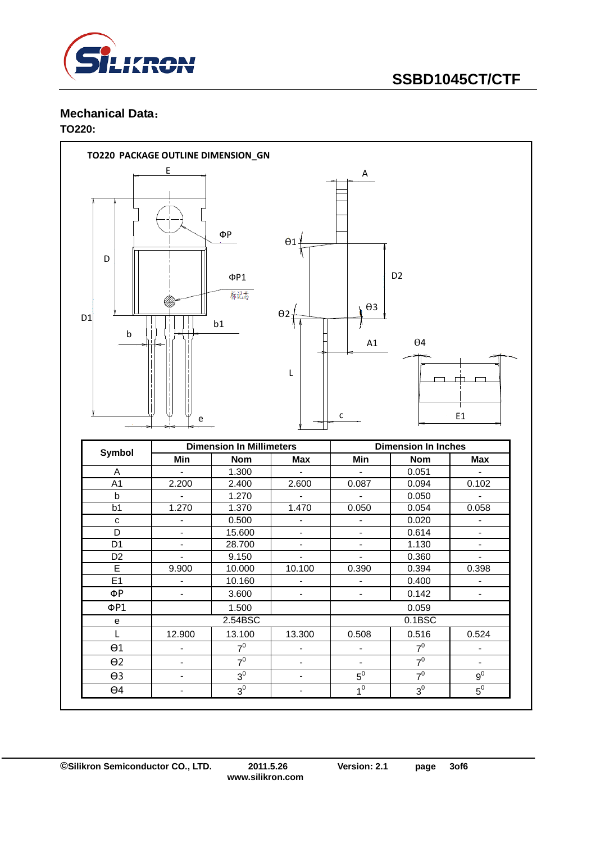

#### **Mechanical Data**: **TO220:**

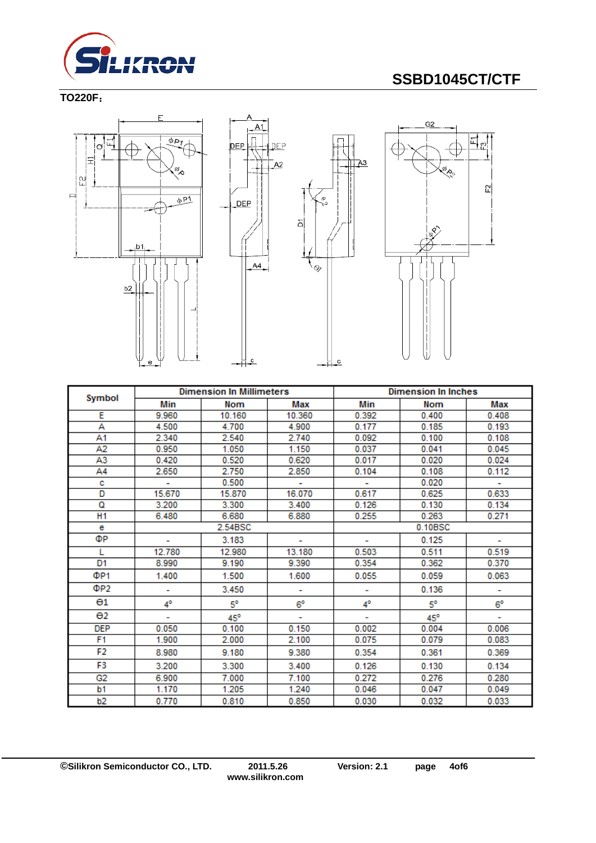

**TO220F**:







 $\overline{A}3$ 

 $\overline{c}$ 

|                       | <b>Dimension In Millimeters</b> |         |                          | <b>Dimension In Inches</b> |            |             |
|-----------------------|---------------------------------|---------|--------------------------|----------------------------|------------|-------------|
| Symbol                | Min                             | Nom     | Max                      | Min                        | <b>Nom</b> | Max         |
| Е                     | 9.960                           | 10.160  | 10.360                   | 0.392                      | 0.400      | 0.408       |
| А                     | 4.500                           | 4.700   | 4.900                    | 0.177                      | 0.185      | 0.193       |
| Α1                    | 2.340                           | 2.540   | 2.740                    | 0.092                      | 0.100      | 0.108       |
| A2                    | 0.950                           | 1.050   | 1.150                    | 0.037                      | 0.041      | 0.045       |
| A3                    | 0.420                           | 0.520   | 0.620                    | 0.017                      | 0.020      | 0.024       |
| Α4                    | 2.650                           | 2.750   | 2.850                    | 0.104                      | 0.108      | 0.112       |
| с                     |                                 | 0.500   | ۰                        |                            | 0.020      | ÷           |
| D                     | 15.670                          | 15.870  | 16.070                   | 0.617                      | 0.625      | 0.633       |
| Q                     | 3.200                           | 3.300   | 3.400                    | 0.126                      | 0.130      | 0.134       |
| H <sub>1</sub>        | 6.480                           | 6.680   | 6.880                    | 0.255                      | 0.263      | 0.271       |
| е                     |                                 | 2.54BSC |                          | 0.10BSC                    |            |             |
| ФP                    |                                 | 3.183   |                          |                            | 0.125      |             |
| L                     | 12.780                          | 12.980  | 13.180                   | 0.503                      | 0.511      | 0.519       |
| D1                    | 8.990                           | 9.190   | 9.390                    | 0.354                      | 0.362      | 0.370       |
| ΦP <sub>1</sub>       | 1.400                           | 1.500   | 1.600                    | 0.055                      | 0.059      | 0.063       |
| ΦP2                   | ۰                               | 3.450   | $\overline{\phantom{a}}$ | ۰                          | 0.136      | ۰           |
| $\Theta$ 1            | 4°                              | 5°      | $6^{\circ}$              | 4°                         | 50         | $6^{\circ}$ |
| $\Theta$ <sub>2</sub> |                                 | 45°     |                          |                            | $45^\circ$ |             |
| <b>DEP</b>            | 0.050                           | 0.100   | 0.150                    | 0.002                      | 0.004      | 0.006       |
| F1                    | 1.900                           | 2.000   | 2.100                    | 0.075                      | 0.079      | 0.083       |
| F2                    | 8.980                           | 9.180   | 9.380                    | 0.354                      | 0.361      | 0.369       |
| F3                    | 3.200                           | 3.300   | 3.400                    | 0.126                      | 0.130      | 0.134       |
| G <sub>2</sub>        | 6.900                           | 7.000   | 7.100                    | 0.272                      | 0.276      | 0.280       |
| b1                    | 1.170                           | 1.205   | 1.240                    | 0.046                      | 0.047      | 0.049       |
| b2                    | 0.770                           | 0.810   | 0.850                    | 0.030                      | 0.032      | 0.033       |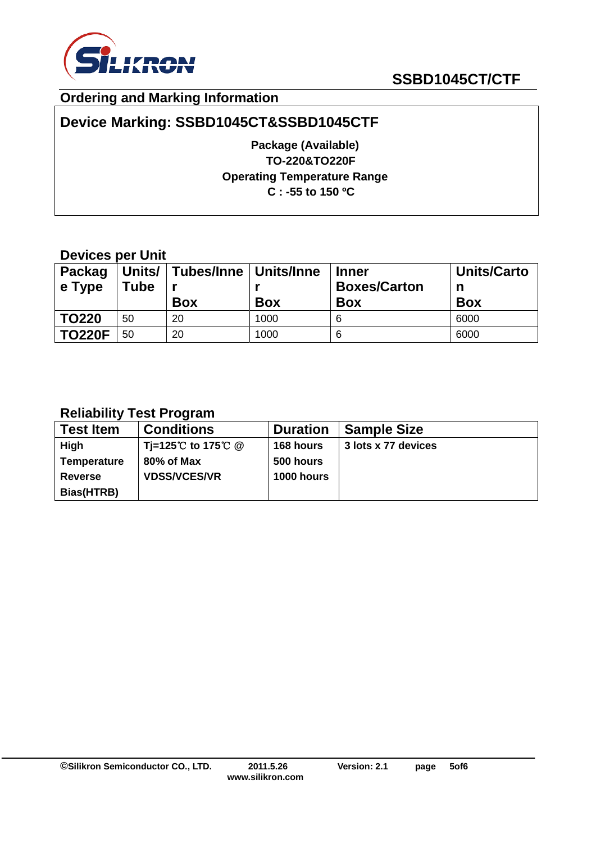

## **Ordering and Marking Information**

# **Device Marking: SSBD1045CT&SSBD1045CTF**

**Package (Available) TO-220&TO220F Operating Temperature Range C : -55 to 150 ºC**

## **Devices per Unit**

| <b>Packag</b><br>$\vert$ e Type | Units/<br><b>Tube</b> | Tubes/Inne   Units/Inne<br><b>Box</b> | <b>Box</b> | <b>Inner</b><br><b>Boxes/Carton</b><br><b>Box</b> | <b>Units/Carto</b><br>n<br><b>Box</b> |
|---------------------------------|-----------------------|---------------------------------------|------------|---------------------------------------------------|---------------------------------------|
| <b>TO220</b>                    | 50                    | 20                                    | 1000       | 6                                                 | 6000                                  |
| <b>TO220F</b>                   | 50                    | 20                                    | 1000       | 6                                                 | 6000                                  |

## **Reliability Test Program**

| <b>Test Item</b>   | <b>Conditions</b>   | <b>Duration</b>   | <b>Sample Size</b>  |
|--------------------|---------------------|-------------------|---------------------|
| High               | Ti=125℃ to 175℃ @   | 168 hours         | 3 lots x 77 devices |
| <b>Temperature</b> | 80% of Max          | 500 hours         |                     |
| <b>Reverse</b>     | <b>VDSS/VCES/VR</b> | <b>1000 hours</b> |                     |
| Bias(HTRB)         |                     |                   |                     |